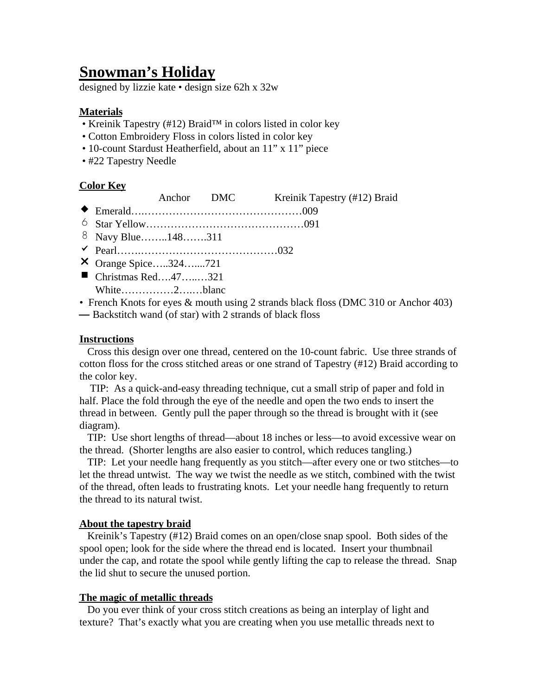# **Snowman's Holiday**

designed by lizzie kate • design size 62h x 32w

## **Materials**

- Kreinik Tapestry (#12) Braid™ in colors listed in color key
- Cotton Embroidery Floss in colors listed in color key
- 10-count Stardust Heatherfield, about an 11" x 11" piece
- #22 Tapestry Needle

### **Color Key**

- Anchor DMC Kreinik Tapestry (#12) Braid
- $\triangle$  Emerald……………………………………………………009
- 6 Star Yellow………………………………………091
- 8 Navy Blue……..148…….311
- $\checkmark$  Pearl…………………………………………032
- X Orange Spice…..324…....721
- $\blacksquare$  Christmas Red…...47….......321 p White……………2….…blanc
- French Knots for eyes & mouth using 2 strands black floss (DMC 310 or Anchor 403)
- Backstitch wand (of star) with 2 strands of black floss

### **Instructions**

 Cross this design over one thread, centered on the 10-count fabric. Use three strands of cotton floss for the cross stitched areas or one strand of Tapestry (#12) Braid according to the color key.

 TIP: As a quick-and-easy threading technique, cut a small strip of paper and fold in half. Place the fold through the eye of the needle and open the two ends to insert the thread in between. Gently pull the paper through so the thread is brought with it (see diagram).

 TIP: Use short lengths of thread—about 18 inches or less—to avoid excessive wear on the thread. (Shorter lengths are also easier to control, which reduces tangling.)

 TIP: Let your needle hang frequently as you stitch—after every one or two stitches—to let the thread untwist. The way we twist the needle as we stitch, combined with the twist of the thread, often leads to frustrating knots. Let your needle hang frequently to return the thread to its natural twist.

### **About the tapestry braid**

 Kreinik's Tapestry (#12) Braid comes on an open/close snap spool. Both sides of the spool open; look for the side where the thread end is located. Insert your thumbnail under the cap, and rotate the spool while gently lifting the cap to release the thread. Snap the lid shut to secure the unused portion.

#### **The magic of metallic threads**

 Do you ever think of your cross stitch creations as being an interplay of light and texture? That's exactly what you are creating when you use metallic threads next to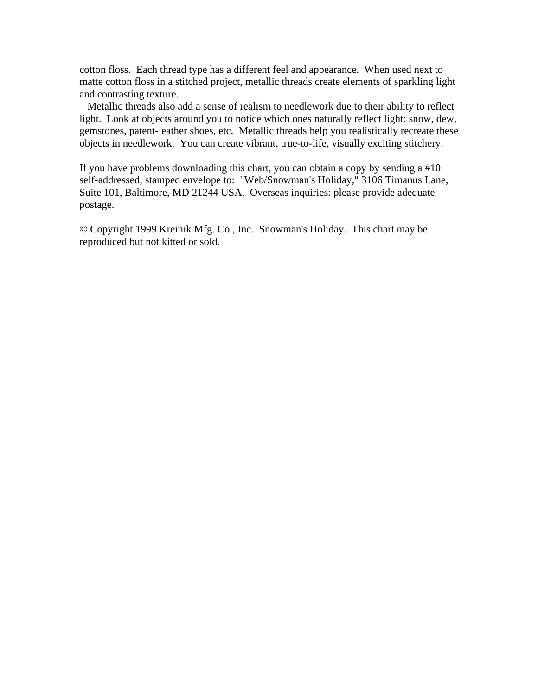cotton floss. Each thread type has a different feel and appearance. When used next to matte cotton floss in a stitched project, metallic threads create elements of sparkling light and contrasting texture.

 Metallic threads also add a sense of realism to needlework due to their ability to reflect light. Look at objects around you to notice which ones naturally reflect light: snow, dew, gemstones, patent-leather shoes, etc. Metallic threads help you realistically recreate these objects in needlework. You can create vibrant, true-to-life, visually exciting stitchery.

If you have problems downloading this chart, you can obtain a copy by sending a #10 self-addressed, stamped envelope to: "Web/Snowman's Holiday," 3106 Timanus Lane, Suite 101, Baltimore, MD 21244 USA. Overseas inquiries: please provide adequate postage.

© Copyright 1999 Kreinik Mfg. Co., Inc. Snowman's Holiday. This chart may be reproduced but not kitted or sold.